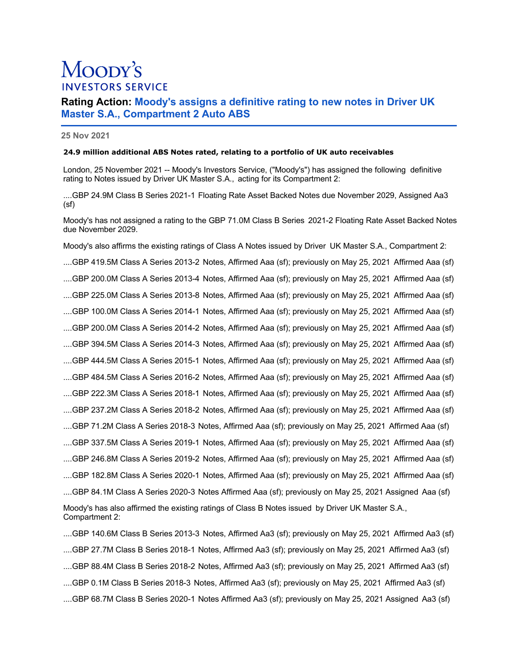# Moopy's **INVESTORS SERVICE**

## **Rating Action: Moody's assigns a definitive rating to new notes in Driver UK Master S.A., Compartment 2 Auto ABS**

**25 Nov 2021**

#### **24.9 million additional ABS Notes rated, relating to a portfolio of UK auto receivables**

London, 25 November 2021 -- Moody's Investors Service, ("Moody's") has assigned the following definitive rating to Notes issued by Driver UK Master S.A., acting for its Compartment 2:

....GBP 24.9M Class B Series 2021-1 Floating Rate Asset Backed Notes due November 2029, Assigned Aa3 (sf)

Moody's has not assigned a rating to the GBP 71.0M Class B Series 2021-2 Floating Rate Asset Backed Notes due November 2029.

Moody's also affirms the existing ratings of Class A Notes issued by Driver UK Master S.A., Compartment 2:

- ....GBP 419.5M Class A Series 2013-2 Notes, Affirmed Aaa (sf); previously on May 25, 2021 Affirmed Aaa (sf)
- ....GBP 200.0M Class A Series 2013-4 Notes, Affirmed Aaa (sf); previously on May 25, 2021 Affirmed Aaa (sf)
- ....GBP 225.0M Class A Series 2013-8 Notes, Affirmed Aaa (sf); previously on May 25, 2021 Affirmed Aaa (sf)
- ....GBP 100.0M Class A Series 2014-1 Notes, Affirmed Aaa (sf); previously on May 25, 2021 Affirmed Aaa (sf)
- ....GBP 200.0M Class A Series 2014-2 Notes, Affirmed Aaa (sf); previously on May 25, 2021 Affirmed Aaa (sf)
- ....GBP 394.5M Class A Series 2014-3 Notes, Affirmed Aaa (sf); previously on May 25, 2021 Affirmed Aaa (sf)
- ....GBP 444.5M Class A Series 2015-1 Notes, Affirmed Aaa (sf); previously on May 25, 2021 Affirmed Aaa (sf)
- ....GBP 484.5M Class A Series 2016-2 Notes, Affirmed Aaa (sf); previously on May 25, 2021 Affirmed Aaa (sf)
- ....GBP 222.3M Class A Series 2018-1 Notes, Affirmed Aaa (sf); previously on May 25, 2021 Affirmed Aaa (sf)
- ....GBP 237.2M Class A Series 2018-2 Notes, Affirmed Aaa (sf); previously on May 25, 2021 Affirmed Aaa (sf)
- ....GBP 71.2M Class A Series 2018-3 Notes, Affirmed Aaa (sf); previously on May 25, 2021 Affirmed Aaa (sf)
- ....GBP 337.5M Class A Series 2019-1 Notes, Affirmed Aaa (sf); previously on May 25, 2021 Affirmed Aaa (sf)
- ....GBP 246.8M Class A Series 2019-2 Notes, Affirmed Aaa (sf); previously on May 25, 2021 Affirmed Aaa (sf)
- ....GBP 182.8M Class A Series 2020-1 Notes, Affirmed Aaa (sf); previously on May 25, 2021 Affirmed Aaa (sf)
- ....GBP 84.1M Class A Series 2020-3 Notes Affirmed Aaa (sf); previously on May 25, 2021 Assigned Aaa (sf)

Moody's has also affirmed the existing ratings of Class B Notes issued by Driver UK Master S.A., Compartment 2:

- ....GBP 140.6M Class B Series 2013-3 Notes, Affirmed Aa3 (sf); previously on May 25, 2021 Affirmed Aa3 (sf)
- ....GBP 27.7M Class B Series 2018-1 Notes, Affirmed Aa3 (sf); previously on May 25, 2021 Affirmed Aa3 (sf)
- ....GBP 88.4M Class B Series 2018-2 Notes, Affirmed Aa3 (sf); previously on May 25, 2021 Affirmed Aa3 (sf)
- ....GBP 0.1M Class B Series 2018-3 Notes, Affirmed Aa3 (sf); previously on May 25, 2021 Affirmed Aa3 (sf)
- ....GBP 68.7M Class B Series 2020-1 Notes Affirmed Aa3 (sf); previously on May 25, 2021 Assigned Aa3 (sf)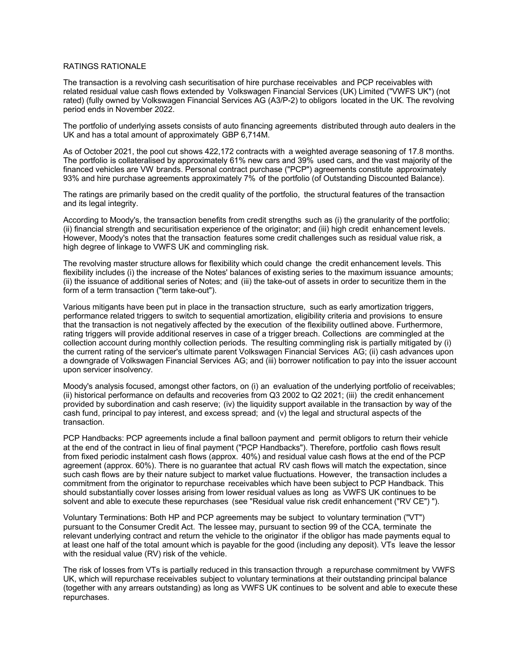#### RATINGS RATIONALE

The transaction is a revolving cash securitisation of hire purchase receivables and PCP receivables with related residual value cash flows extended by Volkswagen Financial Services (UK) Limited ("VWFS UK") (not rated) (fully owned by Volkswagen Financial Services AG (A3/P-2) to obligors located in the UK. The revolving period ends in November 2022.

The portfolio of underlying assets consists of auto financing agreements distributed through auto dealers in the UK and has a total amount of approximately GBP 6,714M.

As of October 2021, the pool cut shows 422,172 contracts with a weighted average seasoning of 17.8 months. The portfolio is collateralised by approximately 61% new cars and 39% used cars, and the vast majority of the financed vehicles are VW brands. Personal contract purchase ("PCP") agreements constitute approximately 93% and hire purchase agreements approximately 7% of the portfolio (of Outstanding Discounted Balance).

The ratings are primarily based on the credit quality of the portfolio, the structural features of the transaction and its legal integrity.

According to Moody's, the transaction benefits from credit strengths such as (i) the granularity of the portfolio; (ii) financial strength and securitisation experience of the originator; and (iii) high credit enhancement levels. However, Moody's notes that the transaction features some credit challenges such as residual value risk, a high degree of linkage to VWFS UK and commingling risk.

The revolving master structure allows for flexibility which could change the credit enhancement levels. This flexibility includes (i) the increase of the Notes' balances of existing series to the maximum issuance amounts; (ii) the issuance of additional series of Notes; and (iii) the take-out of assets in order to securitize them in the form of a term transaction ("term take-out").

Various mitigants have been put in place in the transaction structure, such as early amortization triggers, performance related triggers to switch to sequential amortization, eligibility criteria and provisions to ensure that the transaction is not negatively affected by the execution of the flexibility outlined above. Furthermore, rating triggers will provide additional reserves in case of a trigger breach. Collections are commingled at the collection account during monthly collection periods. The resulting commingling risk is partially mitigated by (i) the current rating of the servicer's ultimate parent Volkswagen Financial Services AG; (ii) cash advances upon a downgrade of Volkswagen Financial Services AG; and (iii) borrower notification to pay into the issuer account upon servicer insolvency.

Moody's analysis focused, amongst other factors, on (i) an evaluation of the underlying portfolio of receivables; (ii) historical performance on defaults and recoveries from Q3 2002 to Q2 2021; (iii) the credit enhancement provided by subordination and cash reserve; (iv) the liquidity support available in the transaction by way of the cash fund, principal to pay interest, and excess spread; and (v) the legal and structural aspects of the transaction.

PCP Handbacks: PCP agreements include a final balloon payment and permit obligors to return their vehicle at the end of the contract in lieu of final payment ("PCP Handbacks"). Therefore, portfolio cash flows result from fixed periodic instalment cash flows (approx. 40%) and residual value cash flows at the end of the PCP agreement (approx. 60%). There is no guarantee that actual RV cash flows will match the expectation, since such cash flows are by their nature subject to market value fluctuations. However, the transaction includes a commitment from the originator to repurchase receivables which have been subject to PCP Handback. This should substantially cover losses arising from lower residual values as long as VWFS UK continues to be solvent and able to execute these repurchases (see "Residual value risk credit enhancement ("RV CE") ").

Voluntary Terminations: Both HP and PCP agreements may be subject to voluntary termination ("VT") pursuant to the Consumer Credit Act. The lessee may, pursuant to section 99 of the CCA, terminate the relevant underlying contract and return the vehicle to the originator if the obligor has made payments equal to at least one half of the total amount which is payable for the good (including any deposit). VTs leave the lessor with the residual value (RV) risk of the vehicle.

The risk of losses from VTs is partially reduced in this transaction through a repurchase commitment by VWFS UK, which will repurchase receivables subject to voluntary terminations at their outstanding principal balance (together with any arrears outstanding) as long as VWFS UK continues to be solvent and able to execute these repurchases.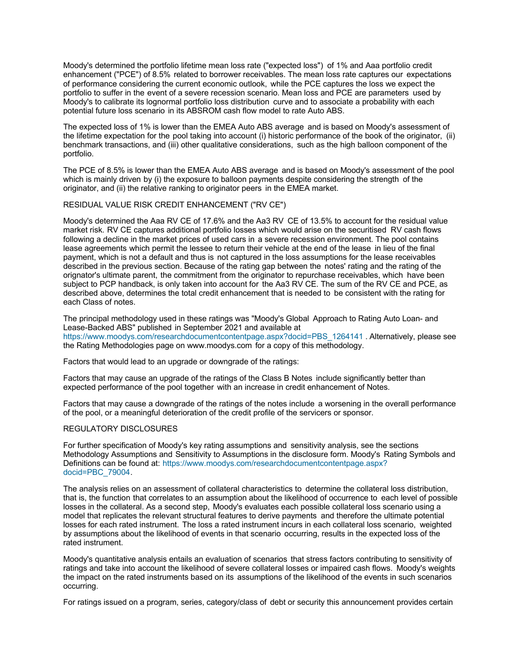Moody's determined the portfolio lifetime mean loss rate ("expected loss") of 1% and Aaa portfolio credit enhancement ("PCE") of 8.5% related to borrower receivables. The mean loss rate captures our expectations of performance considering the current economic outlook, while the PCE captures the loss we expect the portfolio to suffer in the event of a severe recession scenario. Mean loss and PCE are parameters used by Moody's to calibrate its lognormal portfolio loss distribution curve and to associate a probability with each potential future loss scenario in its ABSROM cash flow model to rate Auto ABS.

The expected loss of 1% is lower than the EMEA Auto ABS average and is based on Moody's assessment of the lifetime expectation for the pool taking into account (i) historic performance of the book of the originator, (ii) benchmark transactions, and (iii) other qualitative considerations, such as the high balloon component of the portfolio.

The PCE of 8.5% is lower than the EMEA Auto ABS average and is based on Moody's assessment of the pool which is mainly driven by (i) the exposure to balloon payments despite considering the strength of the originator, and (ii) the relative ranking to originator peers in the EMEA market.

### RESIDUAL VALUE RISK CREDIT ENHANCEMENT ("RV CE")

Moody's determined the Aaa RV CE of 17.6% and the Aa3 RV CE of 13.5% to account for the residual value market risk. RV CE captures additional portfolio losses which would arise on the securitised RV cash flows following a decline in the market prices of used cars in a severe recession environment. The pool contains lease agreements which permit the lessee to return their vehicle at the end of the lease in lieu of the final payment, which is not a default and thus is not captured in the loss assumptions for the lease receivables described in the previous section. Because of the rating gap between the notes' rating and the rating of the orignator's ultimate parent, the commitment from the originator to repurchase receivables, which have been subject to PCP handback, is only taken into account for the Aa3 RV CE. The sum of the RV CE and PCE, as described above, determines the total credit enhancement that is needed to be consistent with the rating for each Class of notes.

The principal methodology used in these ratings was "Moody's Global Approach to Rating Auto Loan- and Lease-Backed ABS" published in September 2021 and available at [https://www.moodys.com/researchdocumentcontentpage.aspx?docid=PBS\\_1264141](https://www.moodys.com/researchdocumentcontentpage.aspx?docid=PBS_1264141) . Alternatively, please see the Rating Methodologies page on www.moodys.com for a copy of this methodology.

Factors that would lead to an upgrade or downgrade of the ratings:

Factors that may cause an upgrade of the ratings of the Class B Notes include significantly better than expected performance of the pool together with an increase in credit enhancement of Notes.

Factors that may cause a downgrade of the ratings of the notes include a worsening in the overall performance of the pool, or a meaningful deterioration of the credit profile of the servicers or sponsor.

#### REGULATORY DISCLOSURES

For further specification of Moody's key rating assumptions and sensitivity analysis, see the sections Methodology Assumptions and Sensitivity to Assumptions in the disclosure form. Moody's Rating Symbols and [Definitions can be found at: https://www.moodys.com/researchdocumentcontentpage.aspx?](https://www.moodys.com/researchdocumentcontentpage.aspx?docid=PBC_79004) docid=PBC\_79004.

The analysis relies on an assessment of collateral characteristics to determine the collateral loss distribution, that is, the function that correlates to an assumption about the likelihood of occurrence to each level of possible losses in the collateral. As a second step, Moody's evaluates each possible collateral loss scenario using a model that replicates the relevant structural features to derive payments and therefore the ultimate potential losses for each rated instrument. The loss a rated instrument incurs in each collateral loss scenario, weighted by assumptions about the likelihood of events in that scenario occurring, results in the expected loss of the rated instrument.

Moody's quantitative analysis entails an evaluation of scenarios that stress factors contributing to sensitivity of ratings and take into account the likelihood of severe collateral losses or impaired cash flows. Moody's weights the impact on the rated instruments based on its assumptions of the likelihood of the events in such scenarios occurring.

For ratings issued on a program, series, category/class of debt or security this announcement provides certain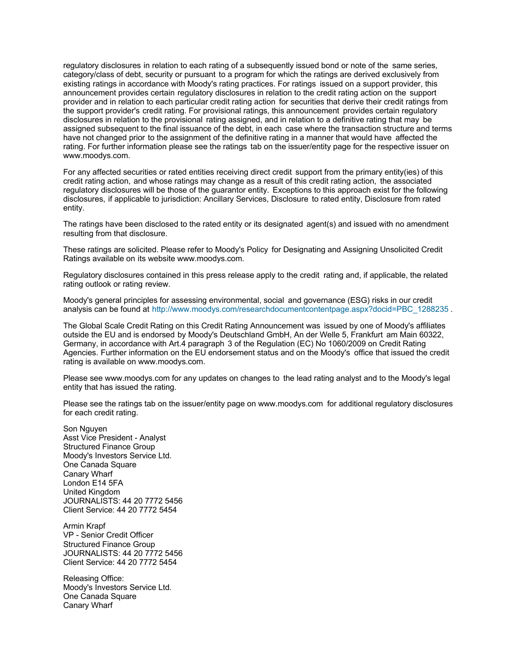regulatory disclosures in relation to each rating of a subsequently issued bond or note of the same series, category/class of debt, security or pursuant to a program for which the ratings are derived exclusively from existing ratings in accordance with Moody's rating practices. For ratings issued on a support provider, this announcement provides certain regulatory disclosures in relation to the credit rating action on the support provider and in relation to each particular credit rating action for securities that derive their credit ratings from the support provider's credit rating. For provisional ratings, this announcement provides certain regulatory disclosures in relation to the provisional rating assigned, and in relation to a definitive rating that may be assigned subsequent to the final issuance of the debt, in each case where the transaction structure and terms have not changed prior to the assignment of the definitive rating in a manner that would have affected the rating. For further information please see the ratings tab on the issuer/entity page for the respective issuer on www.moodys.com.

For any affected securities or rated entities receiving direct credit support from the primary entity(ies) of this credit rating action, and whose ratings may change as a result of this credit rating action, the associated regulatory disclosures will be those of the guarantor entity. Exceptions to this approach exist for the following disclosures, if applicable to jurisdiction: Ancillary Services, Disclosure to rated entity, Disclosure from rated entity.

The ratings have been disclosed to the rated entity or its designated agent(s) and issued with no amendment resulting from that disclosure.

These ratings are solicited. Please refer to Moody's Policy for Designating and Assigning Unsolicited Credit Ratings available on its website www.moodys.com.

Regulatory disclosures contained in this press release apply to the credit rating and, if applicable, the related rating outlook or rating review.

Moody's general principles for assessing environmental, social and governance (ESG) risks in our credit analysis can be found at [http://www.moodys.com/researchdocumentcontentpage.aspx?docid=PBC\\_1288235](http://www.moodys.com/researchdocumentcontentpage.aspx?docid=PBC_1288235).

The Global Scale Credit Rating on this Credit Rating Announcement was issued by one of Moody's affiliates outside the EU and is endorsed by Moody's Deutschland GmbH, An der Welle 5, Frankfurt am Main 60322, Germany, in accordance with Art.4 paragraph 3 of the Regulation (EC) No 1060/2009 on Credit Rating Agencies. Further information on the EU endorsement status and on the Moody's office that issued the credit rating is available on www.moodys.com.

Please see www.moodys.com for any updates on changes to the lead rating analyst and to the Moody's legal entity that has issued the rating.

Please see the ratings tab on the issuer/entity page on www.moodys.com for additional regulatory disclosures for each credit rating.

Son Nguyen Asst Vice President - Analyst Structured Finance Group Moody's Investors Service Ltd. One Canada Square Canary Wharf London E14 5FA United Kingdom JOURNALISTS: 44 20 7772 5456 Client Service: 44 20 7772 5454

Armin Krapf VP - Senior Credit Officer Structured Finance Group JOURNALISTS: 44 20 7772 5456 Client Service: 44 20 7772 5454

Releasing Office: Moody's Investors Service Ltd. One Canada Square Canary Wharf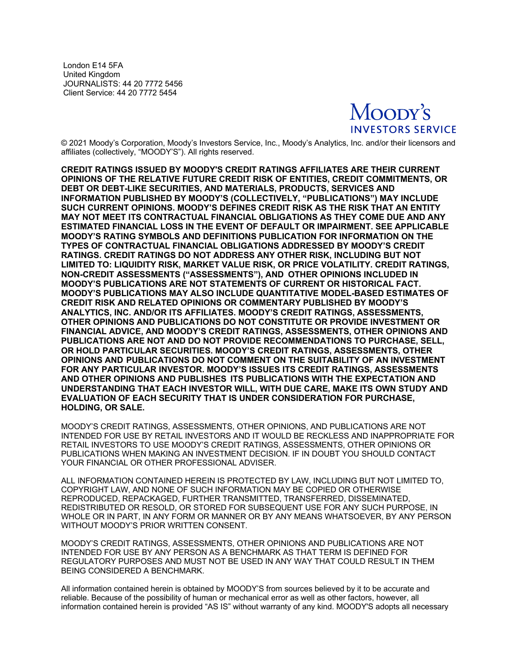London E14 5FA United Kingdom JOURNALISTS: 44 20 7772 5456 Client Service: 44 20 7772 5454

© 2021 Moody's Corporation, Moody's Investors Service, Inc., Moody's Analytics, Inc. and/or their licensors and affiliates (collectively, "MOODY'S"). All rights reserved.

Moopy's

**INVESTORS SERVICE** 

**CREDIT RATINGS ISSUED BY MOODY'S CREDIT RATINGS AFFILIATES ARE THEIR CURRENT OPINIONS OF THE RELATIVE FUTURE CREDIT RISK OF ENTITIES, CREDIT COMMITMENTS, OR DEBT OR DEBT-LIKE SECURITIES, AND MATERIALS, PRODUCTS, SERVICES AND INFORMATION PUBLISHED BY MOODY'S (COLLECTIVELY, "PUBLICATIONS") MAY INCLUDE SUCH CURRENT OPINIONS. MOODY'S DEFINES CREDIT RISK AS THE RISK THAT AN ENTITY MAY NOT MEET ITS CONTRACTUAL FINANCIAL OBLIGATIONS AS THEY COME DUE AND ANY ESTIMATED FINANCIAL LOSS IN THE EVENT OF DEFAULT OR IMPAIRMENT. SEE APPLICABLE MOODY'S RATING SYMBOLS AND DEFINITIONS PUBLICATION FOR INFORMATION ON THE TYPES OF CONTRACTUAL FINANCIAL OBLIGATIONS ADDRESSED BY MOODY'S CREDIT RATINGS. CREDIT RATINGS DO NOT ADDRESS ANY OTHER RISK, INCLUDING BUT NOT LIMITED TO: LIQUIDITY RISK, MARKET VALUE RISK, OR PRICE VOLATILITY. CREDIT RATINGS, NON-CREDIT ASSESSMENTS ("ASSESSMENTS"), AND OTHER OPINIONS INCLUDED IN MOODY'S PUBLICATIONS ARE NOT STATEMENTS OF CURRENT OR HISTORICAL FACT. MOODY'S PUBLICATIONS MAY ALSO INCLUDE QUANTITATIVE MODEL-BASED ESTIMATES OF CREDIT RISK AND RELATED OPINIONS OR COMMENTARY PUBLISHED BY MOODY'S ANALYTICS, INC. AND/OR ITS AFFILIATES. MOODY'S CREDIT RATINGS, ASSESSMENTS, OTHER OPINIONS AND PUBLICATIONS DO NOT CONSTITUTE OR PROVIDE INVESTMENT OR FINANCIAL ADVICE, AND MOODY'S CREDIT RATINGS, ASSESSMENTS, OTHER OPINIONS AND PUBLICATIONS ARE NOT AND DO NOT PROVIDE RECOMMENDATIONS TO PURCHASE, SELL, OR HOLD PARTICULAR SECURITIES. MOODY'S CREDIT RATINGS, ASSESSMENTS, OTHER OPINIONS AND PUBLICATIONS DO NOT COMMENT ON THE SUITABILITY OF AN INVESTMENT FOR ANY PARTICULAR INVESTOR. MOODY'S ISSUES ITS CREDIT RATINGS, ASSESSMENTS AND OTHER OPINIONS AND PUBLISHES ITS PUBLICATIONS WITH THE EXPECTATION AND UNDERSTANDING THAT EACH INVESTOR WILL, WITH DUE CARE, MAKE ITS OWN STUDY AND EVALUATION OF EACH SECURITY THAT IS UNDER CONSIDERATION FOR PURCHASE, HOLDING, OR SALE.** 

MOODY'S CREDIT RATINGS, ASSESSMENTS, OTHER OPINIONS, AND PUBLICATIONS ARE NOT INTENDED FOR USE BY RETAIL INVESTORS AND IT WOULD BE RECKLESS AND INAPPROPRIATE FOR RETAIL INVESTORS TO USE MOODY'S CREDIT RATINGS, ASSESSMENTS, OTHER OPINIONS OR PUBLICATIONS WHEN MAKING AN INVESTMENT DECISION. IF IN DOUBT YOU SHOULD CONTACT YOUR FINANCIAL OR OTHER PROFESSIONAL ADVISER.

ALL INFORMATION CONTAINED HEREIN IS PROTECTED BY LAW, INCLUDING BUT NOT LIMITED TO, COPYRIGHT LAW, AND NONE OF SUCH INFORMATION MAY BE COPIED OR OTHERWISE REPRODUCED, REPACKAGED, FURTHER TRANSMITTED, TRANSFERRED, DISSEMINATED, REDISTRIBUTED OR RESOLD, OR STORED FOR SUBSEQUENT USE FOR ANY SUCH PURPOSE, IN WHOLE OR IN PART, IN ANY FORM OR MANNER OR BY ANY MEANS WHATSOEVER, BY ANY PERSON WITHOUT MOODY'S PRIOR WRITTEN CONSENT.

MOODY'S CREDIT RATINGS, ASSESSMENTS, OTHER OPINIONS AND PUBLICATIONS ARE NOT INTENDED FOR USE BY ANY PERSON AS A BENCHMARK AS THAT TERM IS DEFINED FOR REGULATORY PURPOSES AND MUST NOT BE USED IN ANY WAY THAT COULD RESULT IN THEM BEING CONSIDERED A BENCHMARK.

All information contained herein is obtained by MOODY'S from sources believed by it to be accurate and reliable. Because of the possibility of human or mechanical error as well as other factors, however, all information contained herein is provided "AS IS" without warranty of any kind. MOODY'S adopts all necessary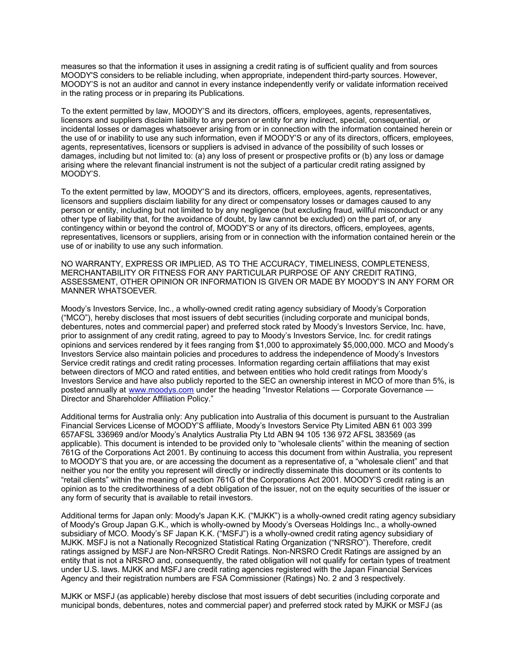measures so that the information it uses in assigning a credit rating is of sufficient quality and from sources MOODY'S considers to be reliable including, when appropriate, independent third-party sources. However, MOODY'S is not an auditor and cannot in every instance independently verify or validate information received in the rating process or in preparing its Publications.

To the extent permitted by law, MOODY'S and its directors, officers, employees, agents, representatives, licensors and suppliers disclaim liability to any person or entity for any indirect, special, consequential, or incidental losses or damages whatsoever arising from or in connection with the information contained herein or the use of or inability to use any such information, even if MOODY'S or any of its directors, officers, employees, agents, representatives, licensors or suppliers is advised in advance of the possibility of such losses or damages, including but not limited to: (a) any loss of present or prospective profits or (b) any loss or damage arising where the relevant financial instrument is not the subject of a particular credit rating assigned by MOODY'S.

To the extent permitted by law, MOODY'S and its directors, officers, employees, agents, representatives, licensors and suppliers disclaim liability for any direct or compensatory losses or damages caused to any person or entity, including but not limited to by any negligence (but excluding fraud, willful misconduct or any other type of liability that, for the avoidance of doubt, by law cannot be excluded) on the part of, or any contingency within or beyond the control of, MOODY'S or any of its directors, officers, employees, agents, representatives, licensors or suppliers, arising from or in connection with the information contained herein or the use of or inability to use any such information.

NO WARRANTY, EXPRESS OR IMPLIED, AS TO THE ACCURACY, TIMELINESS, COMPLETENESS, MERCHANTABILITY OR FITNESS FOR ANY PARTICULAR PURPOSE OF ANY CREDIT RATING, ASSESSMENT, OTHER OPINION OR INFORMATION IS GIVEN OR MADE BY MOODY'S IN ANY FORM OR MANNER WHATSOEVER.

Moody's Investors Service, Inc., a wholly-owned credit rating agency subsidiary of Moody's Corporation ("MCO"), hereby discloses that most issuers of debt securities (including corporate and municipal bonds, debentures, notes and commercial paper) and preferred stock rated by Moody's Investors Service, Inc. have, prior to assignment of any credit rating, agreed to pay to Moody's Investors Service, Inc. for credit ratings opinions and services rendered by it fees ranging from \$1,000 to approximately \$5,000,000. MCO and Moody's Investors Service also maintain policies and procedures to address the independence of Moody's Investors Service credit ratings and credit rating processes. Information regarding certain affiliations that may exist between directors of MCO and rated entities, and between entities who hold credit ratings from Moody's Investors Service and have also publicly reported to the SEC an ownership interest in MCO of more than 5%, is posted annually at [www.moodys.com](http://www.moodys.com/) under the heading "Investor Relations — Corporate Governance — Director and Shareholder Affiliation Policy."

Additional terms for Australia only: Any publication into Australia of this document is pursuant to the Australian Financial Services License of MOODY'S affiliate, Moody's Investors Service Pty Limited ABN 61 003 399 657AFSL 336969 and/or Moody's Analytics Australia Pty Ltd ABN 94 105 136 972 AFSL 383569 (as applicable). This document is intended to be provided only to "wholesale clients" within the meaning of section 761G of the Corporations Act 2001. By continuing to access this document from within Australia, you represent to MOODY'S that you are, or are accessing the document as a representative of, a "wholesale client" and that neither you nor the entity you represent will directly or indirectly disseminate this document or its contents to "retail clients" within the meaning of section 761G of the Corporations Act 2001. MOODY'S credit rating is an opinion as to the creditworthiness of a debt obligation of the issuer, not on the equity securities of the issuer or any form of security that is available to retail investors.

Additional terms for Japan only: Moody's Japan K.K. ("MJKK") is a wholly-owned credit rating agency subsidiary of Moody's Group Japan G.K., which is wholly-owned by Moody's Overseas Holdings Inc., a wholly-owned subsidiary of MCO. Moody's SF Japan K.K. ("MSFJ") is a wholly-owned credit rating agency subsidiary of MJKK. MSFJ is not a Nationally Recognized Statistical Rating Organization ("NRSRO"). Therefore, credit ratings assigned by MSFJ are Non-NRSRO Credit Ratings. Non-NRSRO Credit Ratings are assigned by an entity that is not a NRSRO and, consequently, the rated obligation will not qualify for certain types of treatment under U.S. laws. MJKK and MSFJ are credit rating agencies registered with the Japan Financial Services Agency and their registration numbers are FSA Commissioner (Ratings) No. 2 and 3 respectively.

MJKK or MSFJ (as applicable) hereby disclose that most issuers of debt securities (including corporate and municipal bonds, debentures, notes and commercial paper) and preferred stock rated by MJKK or MSFJ (as